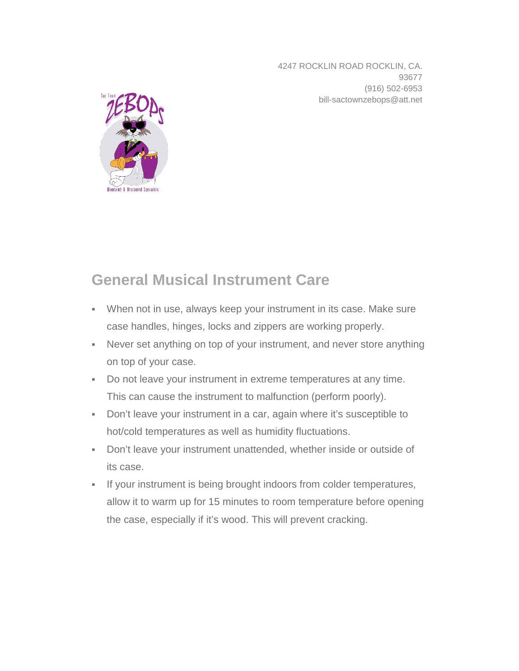4247 ROCKLIN ROAD ROCKLIN, CA. 93677 (916) 502-6953 bill-sactownzebops@att.net



## **General Musical Instrument Care**

- When not in use, always keep your instrument in its case. Make sure case handles, hinges, locks and zippers are working properly.
- Never set anything on top of your instrument, and never store anything on top of your case.
- Do not leave your instrument in extreme temperatures at any time. This can cause the instrument to malfunction (perform poorly).
- Don't leave your instrument in a car, again where it's susceptible to hot/cold temperatures as well as humidity fluctuations.
- Don't leave your instrument unattended, whether inside or outside of its case.
- If your instrument is being brought indoors from colder temperatures, allow it to warm up for 15 minutes to room temperature before opening the case, especially if it's wood. This will prevent cracking.